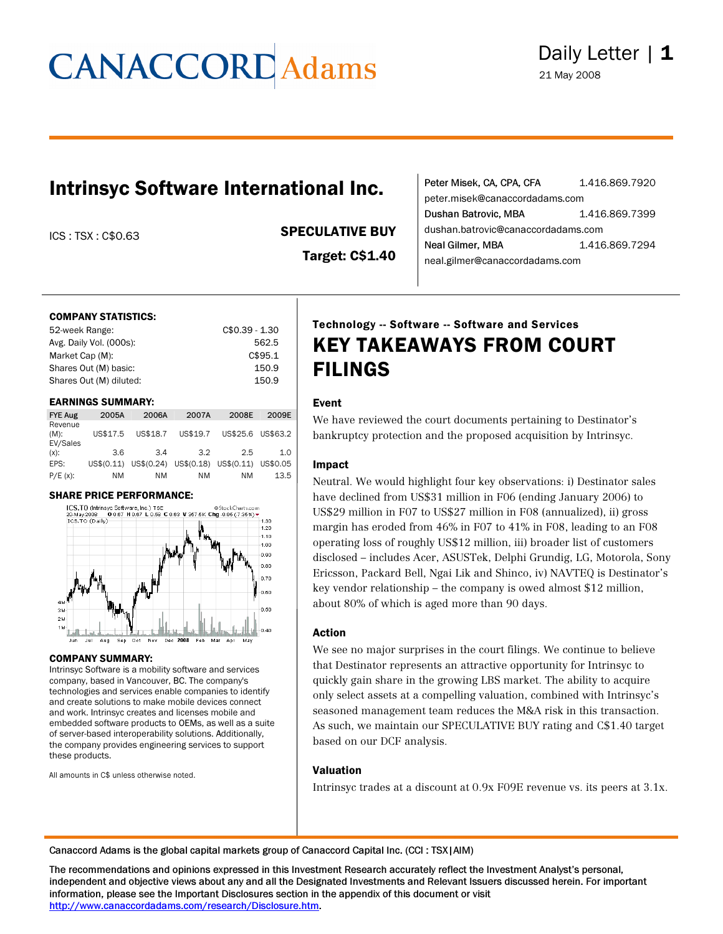### Intrinsyc Software International Inc.

### ICS : TSX : C\$0.63 SPECULATIVE BUY

Target: C\$1.40

| Peter Misek, CA, CPA, CFA          | 1.416.869.7920 |  |  |  |
|------------------------------------|----------------|--|--|--|
| peter.misek@canaccordadams.com     |                |  |  |  |
| Dushan Batrovic, MBA               | 1.416.869.7399 |  |  |  |
| dushan.batrovic@canaccordadams.com |                |  |  |  |
| Neal Gilmer, MBA                   | 1.416.869.7294 |  |  |  |
| neal.gilmer@canaccordadams.com     |                |  |  |  |

#### COMPANY STATISTICS:

| 52-week Range:          | $C$0.39 - 1.30$ |
|-------------------------|-----------------|
| Avg. Daily Vol. (000s): | 562.5           |
| Market Cap (M):         | C\$95.1         |
| Shares Out (M) basic:   | 150.9           |
| Shares Out (M) diluted: | 150.9           |

#### EARNINGS SUMMARY:

| <b>FYE Aug</b>                 | 2005A      | 2006A    | 2007A    | 2008E                                     | 2009E |
|--------------------------------|------------|----------|----------|-------------------------------------------|-------|
| Revenue<br>$(M)$ :<br>EV/Sales | US\$17.5   | US\$18.7 | US\$19.7 | US\$25.6 US\$63.2                         |       |
| $(x)$ :                        | 3.6        | 34       | 3.2      | 2.5                                       | 1.0   |
| EPS:                           | US\$(0.11) |          |          | US\$(0.24) US\$(0.18) US\$(0.11) US\$0.05 |       |
| $P/E(x)$ :                     | ΝM         | ΝM       | ΝM       | ΝM                                        | 13.5  |



#### COMPANY SUMMARY:

Intrinsyc Software is a mobility software and services company, based in Vancouver, BC. The company's technologies and services enable companies to identify and create solutions to make mobile devices connect and work. Intrinsyc creates and licenses mobile and embedded software products to OEMs, as well as a suite of server-based interoperability solutions. Additionally, the company provides engineering services to support these products.

All amounts in C\$ unless otherwise noted.

### Technology -- Software -- Software and Services KEY TAKEAWAYS FROM COURT FILINGS

#### Event

We have reviewed the court documents pertaining to Destinator's bankruptcy protection and the proposed acquisition by Intrinsyc.

#### Impact

Neutral. We would highlight four key observations: i) Destinator sales have declined from US\$31 million in F06 (ending January 2006) to US\$29 million in F07 to US\$27 million in F08 (annualized), ii) gross margin has eroded from 46% in F07 to 41% in F08, leading to an F08 operating loss of roughly US\$12 million, iii) broader list of customers disclosed – includes Acer, ASUSTek, Delphi Grundig, LG, Motorola, Sony Ericsson, Packard Bell, Ngai Lik and Shinco, iv) NAVTEQ is Destinator's key vendor relationship – the company is owed almost \$12 million, about 80% of which is aged more than 90 days.

#### Action

We see no major surprises in the court filings. We continue to believe that Destinator represents an attractive opportunity for Intrinsyc to quickly gain share in the growing LBS market. The ability to acquire only select assets at a compelling valuation, combined with Intrinsyc's seasoned management team reduces the M&A risk in this transaction. As such, we maintain our SPECULATIVE BUY rating and C\$1.40 target based on our DCF analysis.

#### Valuation

Intrinsyc trades at a discount at 0.9x F09E revenue vs. its peers at 3.1x.

Canaccord Adams is the global capital markets group of Canaccord Capital Inc. (CCI : TSX|AIM)

The recommendations and opinions expressed in this Investment Research accurately reflect the Investment Analyst's personal, independent and objective views about any and all the Designated Investments and Relevant Issuers discussed herein. For important information, please see the Important Disclosures section in the appendix of this document or visit [http://www.canaccordadams.com/research/Disclosure.htm.](http://www.canaccordadams.com/research/Disclosure.htm)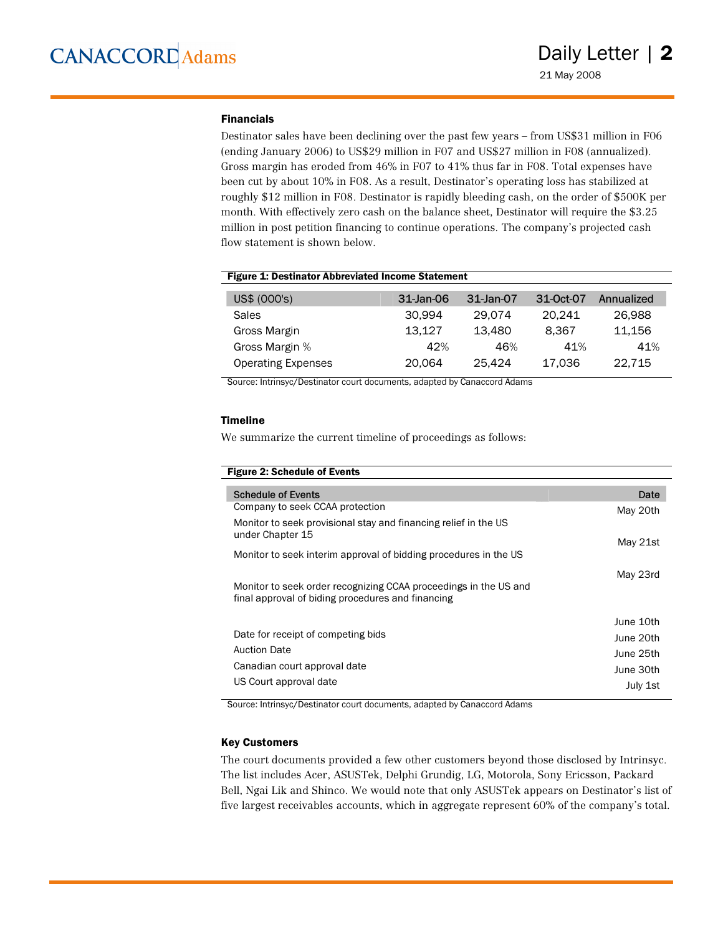#### Financials

Destinator sales have been declining over the past few years – from US\$31 million in F06 (ending January 2006) to US\$29 million in F07 and US\$27 million in F08 (annualized). Gross margin has eroded from 46% in F07 to 41% thus far in F08. Total expenses have been cut by about 10% in F08. As a result, Destinator's operating loss has stabilized at roughly \$12 million in F08. Destinator is rapidly bleeding cash, on the order of \$500K per month. With effectively zero cash on the balance sheet, Destinator will require the \$3.25 million in post petition financing to continue operations. The company's projected cash flow statement is shown below.

#### Figure 1: Destinator Abbreviated Income Statement

| US\$ (000's)              | 31-Jan-06 | 31-Jan-07 | 31-Oct-07 | Annualized |
|---------------------------|-----------|-----------|-----------|------------|
| <b>Sales</b>              | 30.994    | 29.074    | 20.241    | 26,988     |
| Gross Margin              | 13.127    | 13.480    | 8.367     | 11.156     |
| Gross Margin %            | 42%       | 46%       | 41%       | 41%        |
| <b>Operating Expenses</b> | 20.064    | 25.424    | 17,036    | 22.715     |

Source: Intrinsyc/Destinator court documents, adapted by Canaccord Adams

#### Timeline

We summarize the current timeline of proceedings as follows:

| <b>Figure 2: Schedule of Events</b>                                                                                   |                                                              |
|-----------------------------------------------------------------------------------------------------------------------|--------------------------------------------------------------|
| <b>Schedule of Events</b><br>Company to seek CCAA protection                                                          | Date                                                         |
| Monitor to seek provisional stay and financing relief in the US<br>under Chapter 15                                   | May 20th                                                     |
| Monitor to seek interim approval of bidding procedures in the US                                                      | May 21st                                                     |
| Monitor to seek order recognizing CCAA proceedings in the US and<br>final approval of biding procedures and financing | May 23rd                                                     |
| Date for receipt of competing bids<br><b>Auction Date</b><br>Canadian court approval date<br>US Court approval date   | June 10th<br>June 20th<br>June 25th<br>June 30th<br>July 1st |

Source: Intrinsyc/Destinator court documents, adapted by Canaccord Adams

#### Key Customers

The court documents provided a few other customers beyond those disclosed by Intrinsyc. The list includes Acer, ASUSTek, Delphi Grundig, LG, Motorola, Sony Ericsson, Packard Bell, Ngai Lik and Shinco. We would note that only ASUSTek appears on Destinator's list of five largest receivables accounts, which in aggregate represent 60% of the company's total.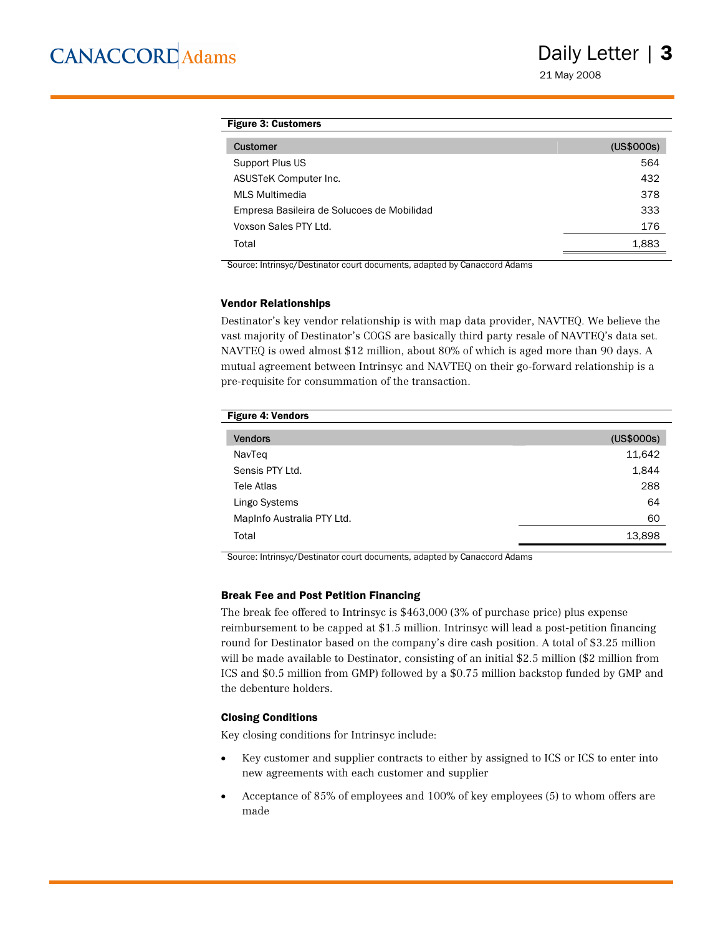21 May 2008

#### Figure 3: Customers

| Customer                                   | (US\$000s) |
|--------------------------------------------|------------|
| Support Plus US                            | 564        |
| ASUSTeK Computer Inc.                      | 432        |
| MLS Multimedia                             | 378        |
| Empresa Basileira de Solucoes de Mobilidad | 333        |
| Voxson Sales PTY Ltd.                      | 176        |
| Total                                      | 1,883      |

Source: Intrinsyc/Destinator court documents, adapted by Canaccord Adams

#### Vendor Relationships

Destinator's key vendor relationship is with map data provider, NAVTEQ. We believe the vast majority of Destinator's COGS are basically third party resale of NAVTEQ's data set. NAVTEQ is owed almost \$12 million, about 80% of which is aged more than 90 days. A mutual agreement between Intrinsyc and NAVTEQ on their go-forward relationship is a pre-requisite for consummation of the transaction.

| <b>Figure 4: Vendors</b>   |            |
|----------------------------|------------|
| <b>Vendors</b>             | (US\$000s) |
| NavTeq                     | 11,642     |
| Sensis PTY Ltd.            | 1,844      |
| Tele Atlas                 | 288        |
| Lingo Systems              | 64         |
| Mapinfo Australia PTY Ltd. | 60         |
| Total                      | 13,898     |
|                            |            |

Source: Intrinsyc/Destinator court documents, adapted by Canaccord Adams

#### Break Fee and Post Petition Financing

The break fee offered to Intrinsyc is \$463,000 (3% of purchase price) plus expense reimbursement to be capped at \$1.5 million. Intrinsyc will lead a post-petition financing round for Destinator based on the company's dire cash position. A total of \$3.25 million will be made available to Destinator, consisting of an initial \$2.5 million (\$2 million from ICS and \$0.5 million from GMP) followed by a \$0.75 million backstop funded by GMP and the debenture holders.

#### Closing Conditions

Key closing conditions for Intrinsyc include:

- Key customer and supplier contracts to either by assigned to ICS or ICS to enter into new agreements with each customer and supplier
- Acceptance of 85% of employees and 100% of key employees (5) to whom offers are made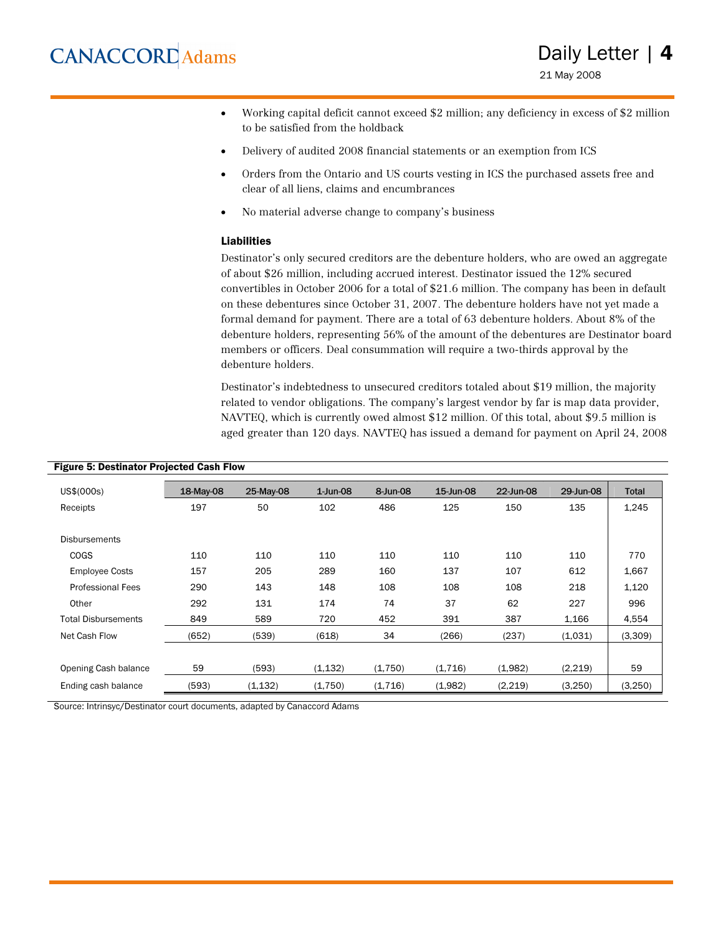- Working capital deficit cannot exceed \$2 million; any deficiency in excess of \$2 million to be satisfied from the holdback
- Delivery of audited 2008 financial statements or an exemption from ICS
- Orders from the Ontario and US courts vesting in ICS the purchased assets free and clear of all liens, claims and encumbrances
- No material adverse change to company's business

#### Liabilities

Destinator's only secured creditors are the debenture holders, who are owed an aggregate of about \$26 million, including accrued interest. Destinator issued the 12% secured convertibles in October 2006 for a total of \$21.6 million. The company has been in default on these debentures since October 31, 2007. The debenture holders have not yet made a formal demand for payment. There are a total of 63 debenture holders. About 8% of the debenture holders, representing 56% of the amount of the debentures are Destinator board members or officers. Deal consummation will require a two-thirds approval by the debenture holders.

Destinator's indebtedness to unsecured creditors totaled about \$19 million, the majority related to vendor obligations. The company's largest vendor by far is map data provider, NAVTEQ, which is currently owed almost \$12 million. Of this total, about \$9.5 million is aged greater than 120 days. NAVTEQ has issued a demand for payment on April 24, 2008

| US\$(000s)                 | 18-May-08 | 25-May-08 | $1$ -Jun-08 | 8-Jun-08 | 15-Jun-08 | 22-Jun-08 | 29-Jun-08 | <b>Total</b> |
|----------------------------|-----------|-----------|-------------|----------|-----------|-----------|-----------|--------------|
| Receipts                   | 197       | 50        | 102         | 486      | 125       | 150       | 135       | 1,245        |
|                            |           |           |             |          |           |           |           |              |
| <b>Disbursements</b>       |           |           |             |          |           |           |           |              |
| <b>COGS</b>                | 110       | 110       | 110         | 110      | 110       | 110       | 110       | 770          |
| <b>Employee Costs</b>      | 157       | 205       | 289         | 160      | 137       | 107       | 612       | 1,667        |
| <b>Professional Fees</b>   | 290       | 143       | 148         | 108      | 108       | 108       | 218       | 1,120        |
| Other                      | 292       | 131       | 174         | 74       | 37        | 62        | 227       | 996          |
| <b>Total Disbursements</b> | 849       | 589       | 720         | 452      | 391       | 387       | 1,166     | 4,554        |
| Net Cash Flow              | (652)     | (539)     | (618)       | 34       | (266)     | (237)     | (1.031)   | (3,309)      |
|                            |           |           |             |          |           |           |           |              |
| Opening Cash balance       | 59        | (593)     | (1, 132)    | (1,750)  | (1,716)   | (1,982)   | (2,219)   | 59           |
| Ending cash balance        | (593)     | (1, 132)  | (1,750)     | (1,716)  | (1,982)   | (2,219)   | (3,250)   | (3, 250)     |

#### Figure 5: Destinator Projected Cash Flow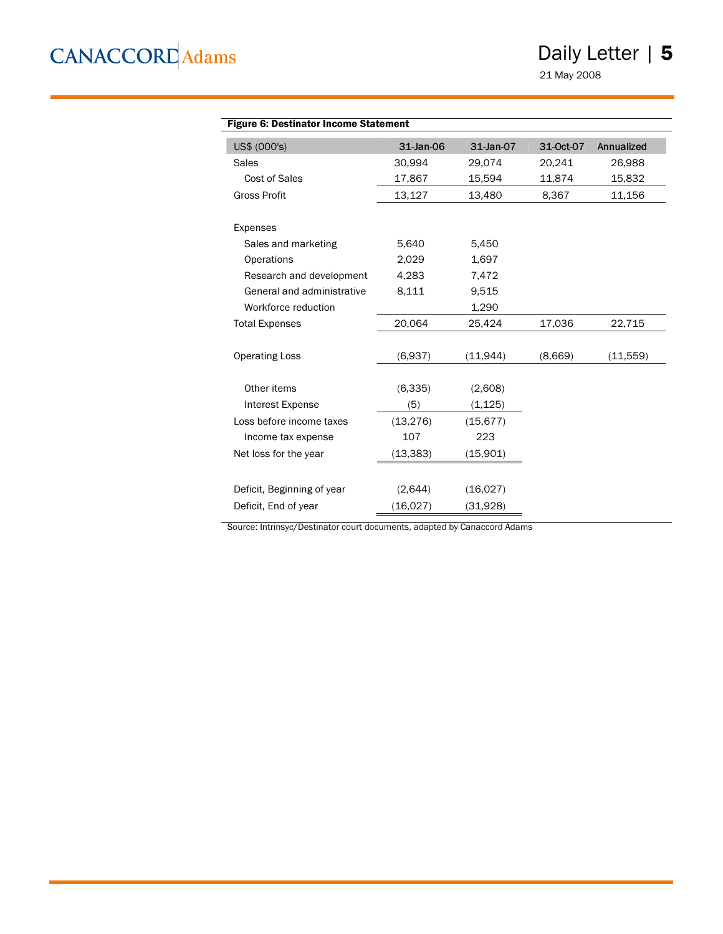### Daily Letter | 5

21 May 2008

| <b>Figure 6: Destinator Income Statement</b> |           |           |           |            |
|----------------------------------------------|-----------|-----------|-----------|------------|
| US\$ (000's)                                 | 31-Jan-06 | 31-Jan-07 | 31-Oct-07 | Annualized |
| Sales                                        | 30,994    | 29,074    | 20,241    | 26,988     |
| Cost of Sales                                | 17,867    | 15,594    | 11,874    | 15,832     |
| <b>Gross Profit</b>                          | 13,127    | 13,480    | 8,367     | 11,156     |
| Expenses                                     |           |           |           |            |
| Sales and marketing                          | 5,640     | 5,450     |           |            |
| Operations                                   | 2,029     | 1,697     |           |            |
| Research and development                     | 4,283     | 7,472     |           |            |
| General and administrative                   | 8,111     | 9,515     |           |            |
| Workforce reduction                          |           | 1,290     |           |            |
| <b>Total Expenses</b>                        | 20,064    | 25,424    | 17,036    | 22,715     |
| <b>Operating Loss</b>                        | (6,937)   | (11, 944) | (8,669)   | (11,559)   |
| Other items                                  | (6, 335)  | (2,608)   |           |            |
| Interest Expense                             | (5)       | (1, 125)  |           |            |
| Loss before income taxes                     | (13, 276) | (15, 677) |           |            |
| Income tax expense                           | 107       | 223       |           |            |
| Net loss for the year                        | (13, 383) | (15,901)  |           |            |
| Deficit, Beginning of year                   | (2,644)   | (16,027)  |           |            |
| Deficit, End of year                         | (16, 027) | (31,928)  |           |            |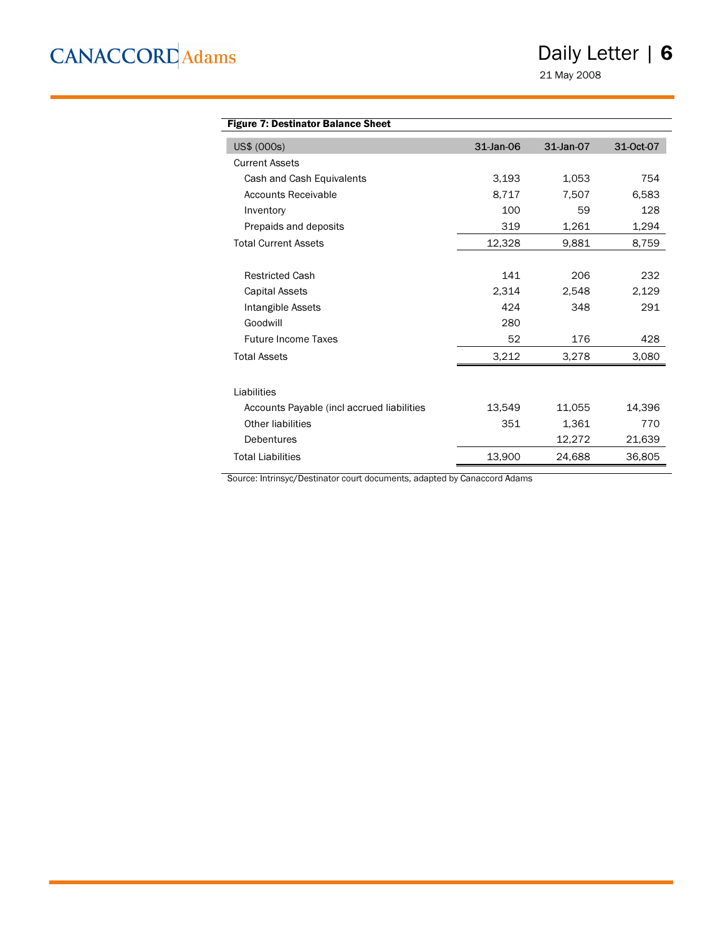Daily Letter | 6

21 May 2008

| <b>Figure 7: Destinator Balance Sheet</b>  |           |           |           |
|--------------------------------------------|-----------|-----------|-----------|
| US\$ (000s)                                | 31-Jan-06 | 31-Jan-07 | 31-Oct-07 |
| <b>Current Assets</b>                      |           |           |           |
| Cash and Cash Equivalents                  | 3.193     | 1,053     | 754       |
| Accounts Receivable                        | 8,717     | 7,507     | 6,583     |
| Inventory                                  | 100       | 59        | 128       |
| Prepaids and deposits                      | 319       | 1,261     | 1,294     |
| <b>Total Current Assets</b>                | 12,328    | 9,881     | 8,759     |
|                                            |           |           |           |
| <b>Restricted Cash</b>                     | 141       | 206       | 232       |
| <b>Capital Assets</b>                      | 2,314     | 2,548     | 2,129     |
| Intangible Assets                          | 424       | 348       | 291       |
| Goodwill                                   | 280       |           |           |
| <b>Future Income Taxes</b>                 | 52        | 176       | 428       |
| <b>Total Assets</b>                        | 3,212     | 3,278     | 3,080     |
|                                            |           |           |           |
| Liabilities                                |           |           |           |
| Accounts Payable (incl accrued liabilities | 13,549    | 11,055    | 14,396    |
| Other liabilities                          | 351       | 1,361     | 770       |
| Debentures                                 |           | 12,272    | 21,639    |
| <b>Total Liabilities</b>                   | 13,900    | 24,688    | 36,805    |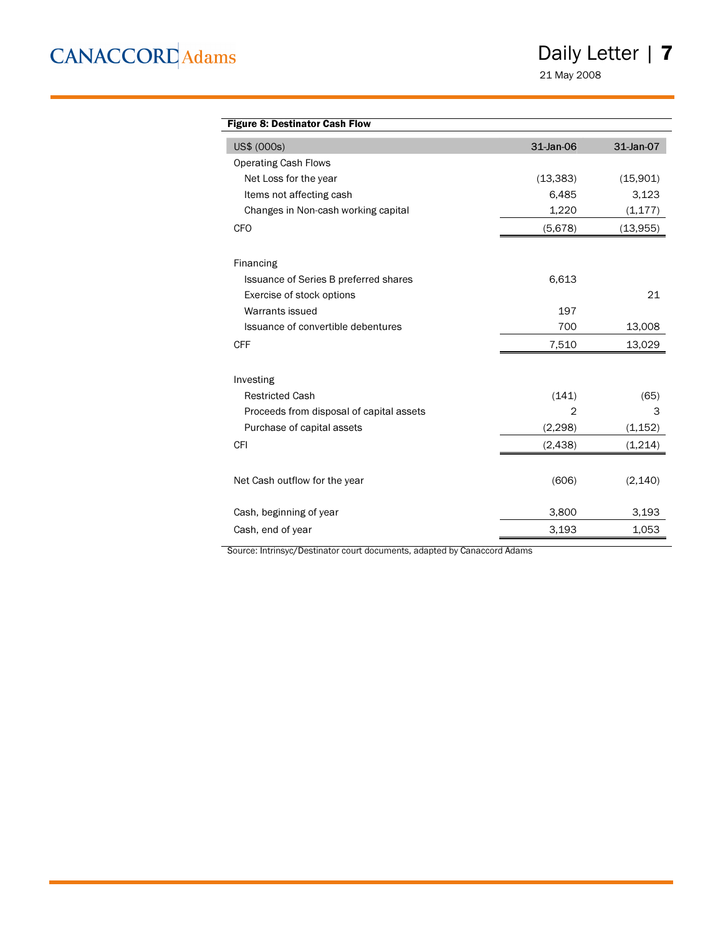Daily Letter | 7

21 May 2008

| <b>Figure 8: Destinator Cash Flow</b>    |                |           |
|------------------------------------------|----------------|-----------|
| US\$ (000s)                              | 31-Jan-06      | 31-Jan-07 |
| <b>Operating Cash Flows</b>              |                |           |
| Net Loss for the year                    | (13, 383)      | (15,901)  |
| Items not affecting cash                 | 6,485          | 3,123     |
| Changes in Non-cash working capital      | 1,220          | (1, 177)  |
| <b>CFO</b>                               | (5,678)        | (13, 955) |
| Financing                                |                |           |
| Issuance of Series B preferred shares    | 6,613          |           |
| Exercise of stock options                |                | 21        |
| Warrants issued                          | 197            |           |
| Issuance of convertible debentures       | 700            | 13,008    |
| <b>CFF</b>                               | 7,510          | 13,029    |
| Investing                                |                |           |
| <b>Restricted Cash</b>                   | (141)          | (65)      |
| Proceeds from disposal of capital assets | $\overline{2}$ | 3         |
| Purchase of capital assets               | (2, 298)       | (1, 152)  |
| <b>CFI</b>                               | (2, 438)       | (1,214)   |
| Net Cash outflow for the year            | (606)          | (2, 140)  |
| Cash, beginning of year                  | 3,800          | 3,193     |
| Cash, end of year                        | 3,193          | 1,053     |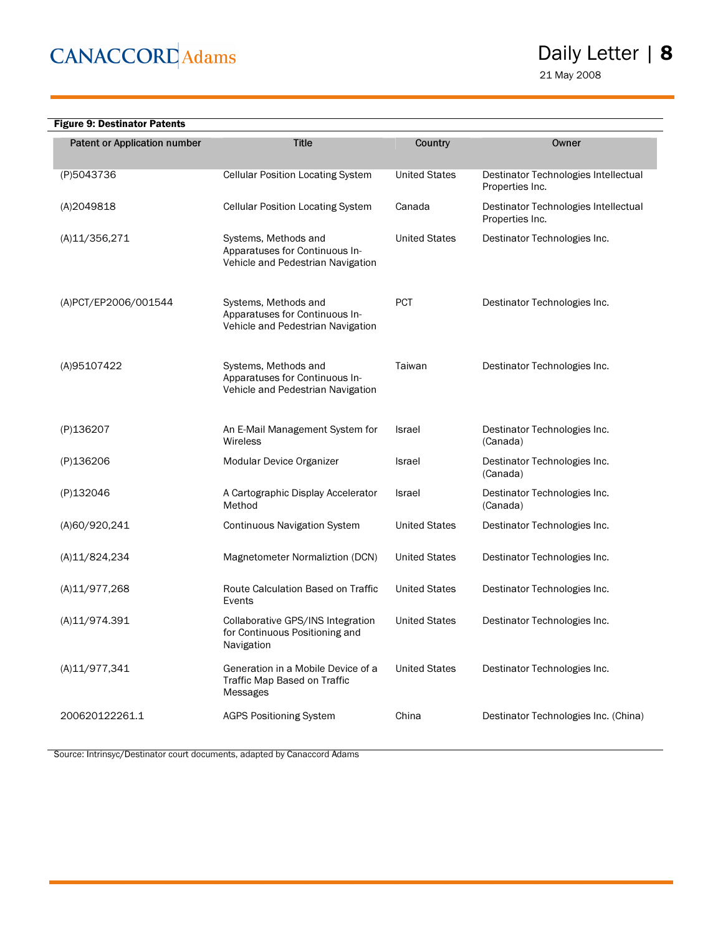### Daily Letter | 8

21 May 2008

| <b>Figure 9: Destinator Patents</b> |                                                                                             |                      |                                                         |
|-------------------------------------|---------------------------------------------------------------------------------------------|----------------------|---------------------------------------------------------|
| Patent or Application number        | <b>Title</b>                                                                                | Country              | Owner                                                   |
| (P)5043736                          | <b>Cellular Position Locating System</b>                                                    | <b>United States</b> | Destinator Technologies Intellectual<br>Properties Inc. |
| (A)2049818                          | <b>Cellular Position Locating System</b>                                                    | Canada               | Destinator Technologies Intellectual<br>Properties Inc. |
| (A)11/356,271                       | Systems, Methods and<br>Apparatuses for Continuous In-<br>Vehicle and Pedestrian Navigation | <b>United States</b> | Destinator Technologies Inc.                            |
| (A)PCT/EP2006/001544                | Systems, Methods and<br>Apparatuses for Continuous In-<br>Vehicle and Pedestrian Navigation | <b>PCT</b>           | Destinator Technologies Inc.                            |
| (A)95107422                         | Systems, Methods and<br>Apparatuses for Continuous In-<br>Vehicle and Pedestrian Navigation | Taiwan               | Destinator Technologies Inc.                            |
| (P)136207                           | An E-Mail Management System for<br>Wireless                                                 | Israel               | Destinator Technologies Inc.<br>(Canada)                |
| (P)136206                           | Modular Device Organizer                                                                    | <b>Israel</b>        | Destinator Technologies Inc.<br>(Canada)                |
| (P)132046                           | A Cartographic Display Accelerator<br>Method                                                | <b>Israel</b>        | Destinator Technologies Inc.<br>(Canada)                |
| (A)60/920,241                       | <b>Continuous Navigation System</b>                                                         | <b>United States</b> | Destinator Technologies Inc.                            |
| (A)11/824,234                       | Magnetometer Normaliztion (DCN)                                                             | <b>United States</b> | Destinator Technologies Inc.                            |
| (A)11/977,268                       | Route Calculation Based on Traffic<br>Events                                                | <b>United States</b> | Destinator Technologies Inc.                            |
| (A)11/974.391                       | Collaborative GPS/INS Integration<br>for Continuous Positioning and<br>Navigation           | <b>United States</b> | Destinator Technologies Inc.                            |
| (A)11/977,341                       | Generation in a Mobile Device of a<br>Traffic Map Based on Traffic<br>Messages              | <b>United States</b> | Destinator Technologies Inc.                            |
| 200620122261.1                      | <b>AGPS Positioning System</b>                                                              | China                | Destinator Technologies Inc. (China)                    |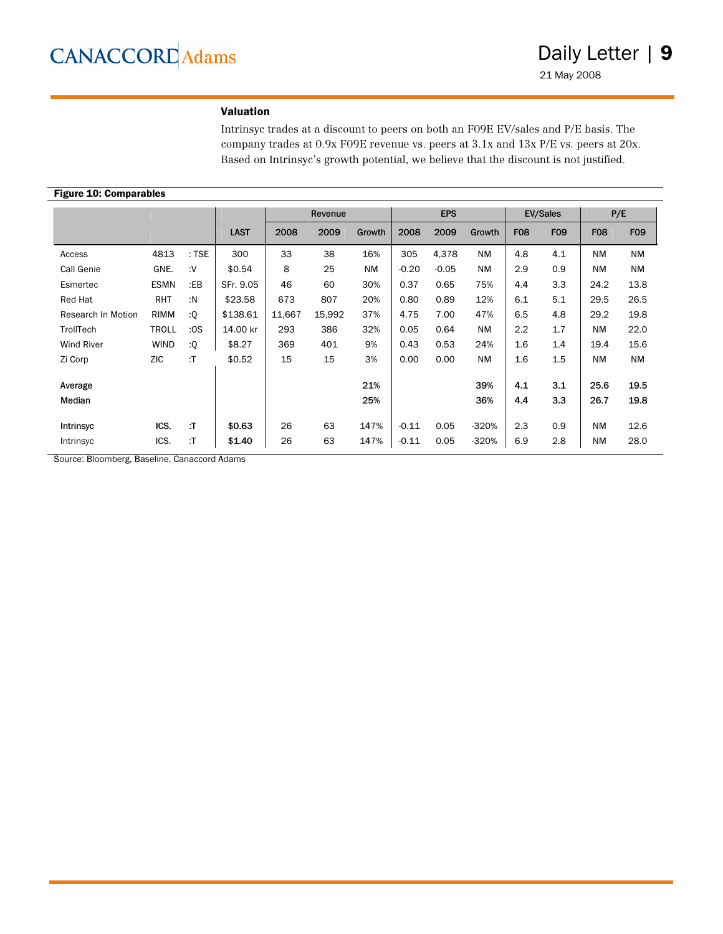### Valuation

Intrinsyc trades at a discount to peers on both an F09E EV/sales and P/E basis. The company trades at 0.9x F09E revenue vs. peers at 3.1x and 13x P/E vs. peers at 20x. Based on Intrinsyc's growth potential, we believe that the discount is not justified.

#### Figure 10: Comparables

|                    |              |         |             |        | Revenue |           |         | <b>EPS</b> |           |            | <b>EV/Sales</b> | P/E        |            |
|--------------------|--------------|---------|-------------|--------|---------|-----------|---------|------------|-----------|------------|-----------------|------------|------------|
|                    |              |         | <b>LAST</b> | 2008   | 2009    | Growth    | 2008    | 2009       | Growth    | <b>F08</b> | <b>F09</b>      | <b>F08</b> | <b>FO9</b> |
| Access             | 4813         | $:$ TSE | 300         | 33     | 38      | 16%       | 305     | 4,378      | <b>NM</b> | 4.8        | 4.1             | <b>NM</b>  | <b>NM</b>  |
| Call Genie         | GNE.         | :V      | \$0.54      | 8      | 25      | <b>NM</b> | $-0.20$ | $-0.05$    | <b>NM</b> | 2.9        | 0.9             | <b>NM</b>  | <b>NM</b>  |
| Esmertec           | <b>ESMN</b>  | $E$ B   | SFr. 9.05   | 46     | 60      | 30%       | 0.37    | 0.65       | 75%       | 4.4        | 3.3             | 24.2       | 13.8       |
| Red Hat            | <b>RHT</b>   | :N      | \$23.58     | 673    | 807     | 20%       | 0.80    | 0.89       | 12%       | 6.1        | 5.1             | 29.5       | 26.5       |
| Research In Motion | RIMM         | :Q      | \$138.61    | 11,667 | 15,992  | 37%       | 4.75    | 7.00       | 47%       | 6.5        | 4.8             | 29.2       | 19.8       |
| TrollTech          | <b>TROLL</b> | :OS     | 14.00 kr    | 293    | 386     | 32%       | 0.05    | 0.64       | <b>NM</b> | 2.2        | 1.7             | <b>NM</b>  | 22.0       |
| <b>Wind River</b>  | <b>WIND</b>  | :Q      | \$8.27      | 369    | 401     | 9%        | 0.43    | 0.53       | 24%       | 1.6        | 1.4             | 19.4       | 15.6       |
| Zi Corp            | ZIC          | :T      | \$0.52      | 15     | 15      | 3%        | 0.00    | 0.00       | <b>NM</b> | 1.6        | 1.5             | <b>NM</b>  | <b>NM</b>  |
| Average            |              |         |             |        |         | 21%       |         |            | 39%       | 4.1        | 3.1             | 25.6       | 19.5       |
| Median             |              |         |             |        |         | 25%       |         |            | 36%       | 4.4        | 3.3             | 26.7       | 19.8       |
| <b>Intrinsyc</b>   | ICS.         | :T      | \$0.63      | 26     | 63      | 147%      | $-0.11$ | 0.05       | $-320%$   | 2.3        | 0.9             | <b>NM</b>  | 12.6       |
| Intrinsyc          | ICS.         | :T      | \$1.40      | 26     | 63      | 147%      | $-0.11$ | 0.05       | $-320%$   | 6.9        | 2.8             | <b>NM</b>  | 28.0       |

Source: Bloomberg, Baseline, Canaccord Adams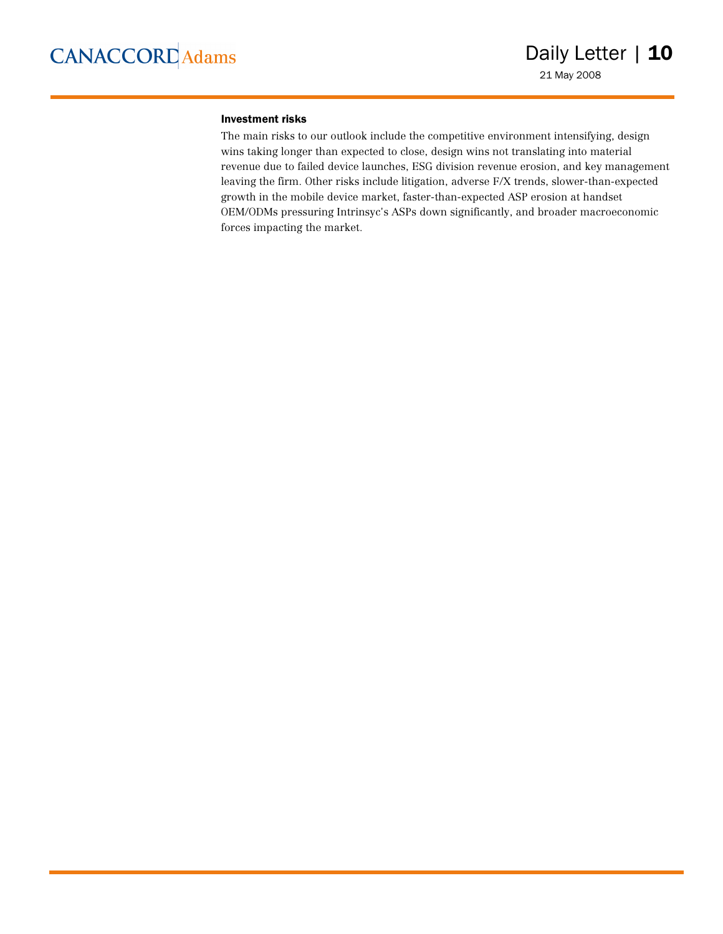#### Investment risks

The main risks to our outlook include the competitive environment intensifying, design wins taking longer than expected to close, design wins not translating into material revenue due to failed device launches, ESG division revenue erosion, and key management leaving the firm. Other risks include litigation, adverse F/X trends, slower-than-expected growth in the mobile device market, faster-than-expected ASP erosion at handset OEM/ODMs pressuring Intrinsyc's ASPs down significantly, and broader macroeconomic forces impacting the market.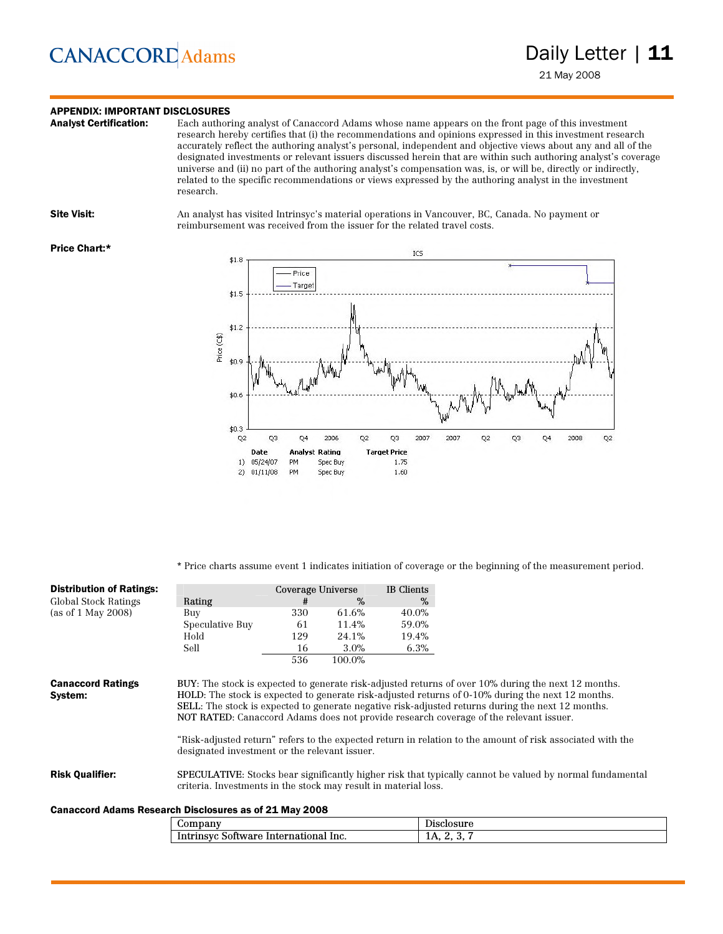### **APPENDIX: IMPORTANT DISCLOSURES**<br>**Analyst Certification:** Each author

Each authoring analyst of Canaccord Adams whose name appears on the front page of this investment research hereby certifies that (i) the recommendations and opinions expressed in this investment research accurately reflect the authoring analyst's personal, independent and objective views about any and all of the designated investments or relevant issuers discussed herein that are within such authoring analyst's coverage universe and (ii) no part of the authoring analyst's compensation was, is, or will be, directly or indirectly, related to the specific recommendations or views expressed by the authoring analyst in the investment research.

Site Visit: An analyst has visited Intrinsyc's material operations in Vancouver, BC, Canada. No payment or reimbursement was received from the issuer for the related travel costs.

#### Price Chart:\*



\* Price charts assume event 1 indicates initiation of coverage or the beginning of the measurement period.

| <b>Distribution of Ratings:</b>     |                                               | Coverage Universe |         | IB Clients |                                                                                                                                                                                                          |
|-------------------------------------|-----------------------------------------------|-------------------|---------|------------|----------------------------------------------------------------------------------------------------------------------------------------------------------------------------------------------------------|
| Global Stock Ratings                | Rating                                        | #                 | $\%$    | %          |                                                                                                                                                                                                          |
| (as of 1 May 2008)                  | Buy                                           | 330               | 61.6%   | 40.0%      |                                                                                                                                                                                                          |
|                                     | Speculative Buy                               | -61               | 11.4%   | 59.0%      |                                                                                                                                                                                                          |
|                                     | Hold                                          | 129               | 24.1%   | 19.4%      |                                                                                                                                                                                                          |
|                                     | Sell                                          | 16                | $3.0\%$ | 6.3%       |                                                                                                                                                                                                          |
|                                     |                                               | 536               | 100.0%  |            |                                                                                                                                                                                                          |
| <b>Canaccord Ratings</b><br>System: |                                               |                   |         |            | BUY: The stock is expected to generate risk-adjusted returns of over 10% during the next 12 months.<br>HOLD: The stock is expected to generate risk-adjusted returns of 0-10% during the next 12 months. |
|                                     |                                               |                   |         |            | SELL: The stock is expected to generate negative risk-adjusted returns during the next 12 months.                                                                                                        |
|                                     |                                               |                   |         |            | NOT RATED: Canaccord Adams does not provide research coverage of the relevant issuer.<br>"Risk-adjusted return" refers to the expected return in relation to the amount of risk associated with the      |
|                                     | designated investment or the relevant issuer. |                   |         |            |                                                                                                                                                                                                          |

#### Canaccord Adams Research Disclosures as of 21 May 2008

| чиш<br>. . | ™dı                             |                                        |
|------------|---------------------------------|----------------------------------------|
| Intring    | lnc.<br>.w<br>na<br>пwаrд<br>יי | $\mathbf{a}$<br>-<br><b>LAN</b><br>. . |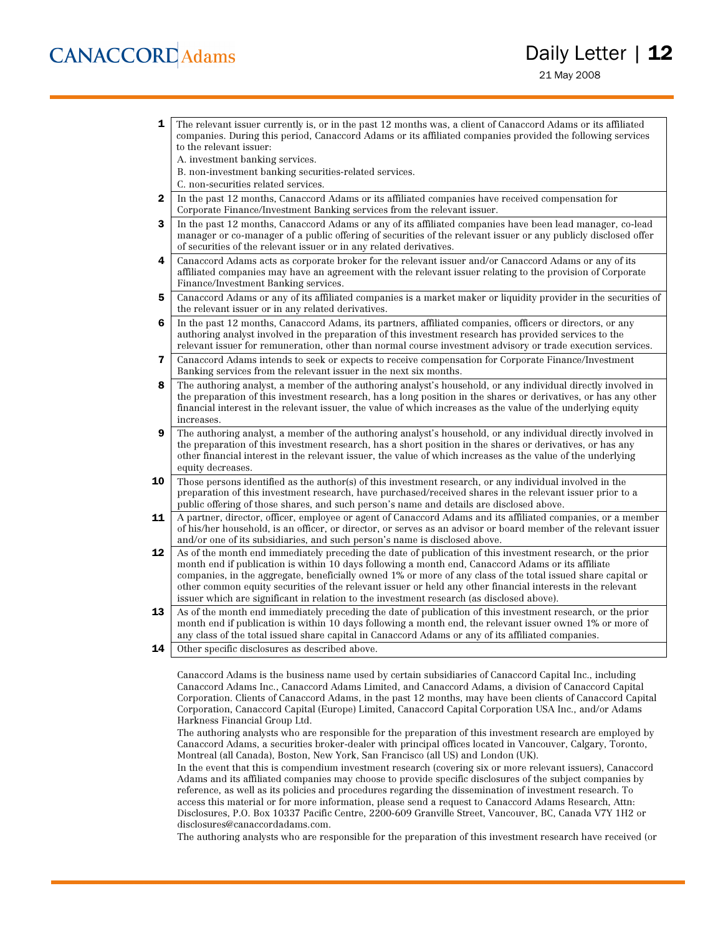- **1** The relevant issuer currently is, or in the past 12 months was, a client of Canaccord Adams or its affiliated companies. During this period, Canaccord Adams or its affiliated companies provided the following services to the relevant issuer:
	- A. investment banking services.
	- B. non-investment banking securities-related services.
	- C. non-securities related services.
- 2 In the past 12 months, Canaccord Adams or its affiliated companies have received compensation for Corporate Finance/Investment Banking services from the relevant issuer.
- **3** In the past 12 months, Canaccord Adams or any of its affiliated companies have been lead manager, co-lead manager or co-manager of a public offering of securities of the relevant issuer or any publicly disclosed offer of securities of the relevant issuer or in any related derivatives.
- 4 Canaccord Adams acts as corporate broker for the relevant issuer and/or Canaccord Adams or any of its affiliated companies may have an agreement with the relevant issuer relating to the provision of Corporate Finance/Investment Banking services.
- 5 Canaccord Adams or any of its affiliated companies is a market maker or liquidity provider in the securities of the relevant issuer or in any related derivatives.
- 6 In the past 12 months, Canaccord Adams, its partners, affiliated companies, officers or directors, or any authoring analyst involved in the preparation of this investment research has provided services to the relevant issuer for remuneration, other than normal course investment advisory or trade execution services.
- 7 Canaccord Adams intends to seek or expects to receive compensation for Corporate Finance/Investment Banking services from the relevant issuer in the next six months.
- 8 The authoring analyst, a member of the authoring analyst's household, or any individual directly involved in the preparation of this investment research, has a long position in the shares or derivatives, or has any other financial interest in the relevant issuer, the value of which increases as the value of the underlying equity increases.
- 9 The authoring analyst, a member of the authoring analyst's household, or any individual directly involved in the preparation of this investment research, has a short position in the shares or derivatives, or has any other financial interest in the relevant issuer, the value of which increases as the value of the underlying equity decreases.
- **10** Those persons identified as the author(s) of this investment research, or any individual involved in the preparation of this investment research, have purchased/received shares in the relevant issuer prior to a public offering of those shares, and such person's name and details are disclosed above.
- 11 A partner, director, officer, employee or agent of Canaccord Adams and its affiliated companies, or a member of his/her household, is an officer, or director, or serves as an advisor or board member of the relevant issuer and/or one of its subsidiaries, and such person's name is disclosed above.
- 12 As of the month end immediately preceding the date of publication of this investment research, or the prior month end if publication is within 10 days following a month end, Canaccord Adams or its affiliate companies, in the aggregate, beneficially owned 1% or more of any class of the total issued share capital or other common equity securities of the relevant issuer or held any other financial interests in the relevant issuer which are significant in relation to the investment research (as disclosed above).
- 13 As of the month end immediately preceding the date of publication of this investment research, or the prior month end if publication is within 10 days following a month end, the relevant issuer owned 1% or more of any class of the total issued share capital in Canaccord Adams or any of its affiliated companies.
- **14** Other specific disclosures as described above.

Canaccord Adams is the business name used by certain subsidiaries of Canaccord Capital Inc., including Canaccord Adams Inc., Canaccord Adams Limited, and Canaccord Adams, a division of Canaccord Capital Corporation. Clients of Canaccord Adams, in the past 12 months, may have been clients of Canaccord Capital Corporation, Canaccord Capital (Europe) Limited, Canaccord Capital Corporation USA Inc., and/or Adams Harkness Financial Group Ltd.

The authoring analysts who are responsible for the preparation of this investment research are employed by Canaccord Adams, a securities broker-dealer with principal offices located in Vancouver, Calgary, Toronto, Montreal (all Canada), Boston, New York, San Francisco (all US) and London (UK).

In the event that this is compendium investment research (covering six or more relevant issuers), Canaccord Adams and its affiliated companies may choose to provide specific disclosures of the subject companies by reference, as well as its policies and procedures regarding the dissemination of investment research. To access this material or for more information, please send a request to Canaccord Adams Research, Attn: Disclosures, P.O. Box 10337 Pacific Centre, 2200-609 Granville Street, Vancouver, BC, Canada V7Y 1H2 or disclosures@canaccordadams.com.

The authoring analysts who are responsible for the preparation of this investment research have received (or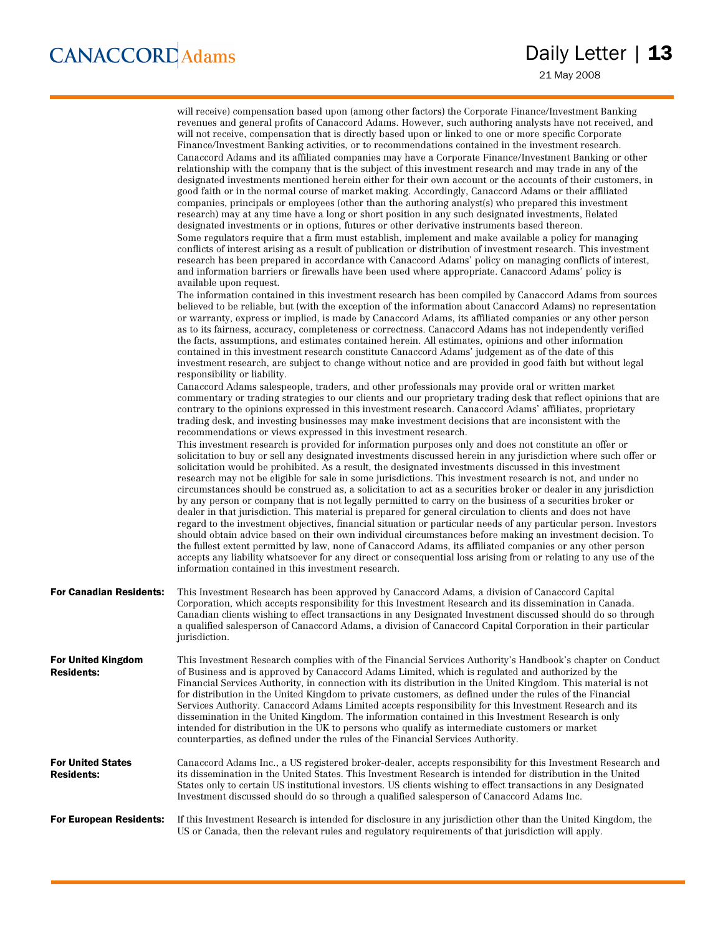21 May 2008

|                                                | will receive) compensation based upon (among other factors) the Corporate Finance/Investment Banking<br>revenues and general profits of Canaccord Adams. However, such authoring analysts have not received, and<br>will not receive, compensation that is directly based upon or linked to one or more specific Corporate<br>Finance/Investment Banking activities, or to recommendations contained in the investment research.<br>Canaccord Adams and its affiliated companies may have a Corporate Finance/Investment Banking or other<br>relationship with the company that is the subject of this investment research and may trade in any of the<br>designated investments mentioned herein either for their own account or the accounts of their customers, in<br>good faith or in the normal course of market making. Accordingly, Canaccord Adams or their affiliated<br>companies, principals or employees (other than the authoring analyst(s) who prepared this investment<br>research) may at any time have a long or short position in any such designated investments, Related<br>designated investments or in options, futures or other derivative instruments based thereon.<br>Some regulators require that a firm must establish, implement and make available a policy for managing<br>conflicts of interest arising as a result of publication or distribution of investment research. This investment<br>research has been prepared in accordance with Canaccord Adams' policy on managing conflicts of interest,<br>and information barriers or firewalls have been used where appropriate. Canaccord Adams' policy is<br>available upon request.<br>The information contained in this investment research has been compiled by Canaccord Adams from sources<br>believed to be reliable, but (with the exception of the information about Canaccord Adams) no representation<br>or warranty, express or implied, is made by Canaccord Adams, its affiliated companies or any other person<br>as to its fairness, accuracy, completeness or correctness. Canaccord Adams has not independently verified<br>the facts, assumptions, and estimates contained herein. All estimates, opinions and other information<br>contained in this investment research constitute Canaccord Adams' judgement as of the date of this<br>investment research, are subject to change without notice and are provided in good faith but without legal<br>responsibility or liability.<br>Canaccord Adams salespeople, traders, and other professionals may provide oral or written market<br>commentary or trading strategies to our clients and our proprietary trading desk that reflect opinions that are<br>contrary to the opinions expressed in this investment research. Canaccord Adams' affiliates, proprietary<br>trading desk, and investing businesses may make investment decisions that are inconsistent with the<br>recommendations or views expressed in this investment research.<br>This investment research is provided for information purposes only and does not constitute an offer or<br>solicitation to buy or sell any designated investments discussed herein in any jurisdiction where such offer or<br>solicitation would be prohibited. As a result, the designated investments discussed in this investment<br>research may not be eligible for sale in some jurisdictions. This investment research is not, and under no<br>circumstances should be construed as, a solicitation to act as a securities broker or dealer in any jurisdiction<br>by any person or company that is not legally permitted to carry on the business of a securities broker or<br>dealer in that jurisdiction. This material is prepared for general circulation to clients and does not have<br>regard to the investment objectives, financial situation or particular needs of any particular person. Investors<br>should obtain advice based on their own individual circumstances before making an investment decision. To<br>the fullest extent permitted by law, none of Canaccord Adams, its affiliated companies or any other person<br>accepts any liability whatsoever for any direct or consequential loss arising from or relating to any use of the<br>information contained in this investment research. |
|------------------------------------------------|---------------------------------------------------------------------------------------------------------------------------------------------------------------------------------------------------------------------------------------------------------------------------------------------------------------------------------------------------------------------------------------------------------------------------------------------------------------------------------------------------------------------------------------------------------------------------------------------------------------------------------------------------------------------------------------------------------------------------------------------------------------------------------------------------------------------------------------------------------------------------------------------------------------------------------------------------------------------------------------------------------------------------------------------------------------------------------------------------------------------------------------------------------------------------------------------------------------------------------------------------------------------------------------------------------------------------------------------------------------------------------------------------------------------------------------------------------------------------------------------------------------------------------------------------------------------------------------------------------------------------------------------------------------------------------------------------------------------------------------------------------------------------------------------------------------------------------------------------------------------------------------------------------------------------------------------------------------------------------------------------------------------------------------------------------------------------------------------------------------------------------------------------------------------------------------------------------------------------------------------------------------------------------------------------------------------------------------------------------------------------------------------------------------------------------------------------------------------------------------------------------------------------------------------------------------------------------------------------------------------------------------------------------------------------------------------------------------------------------------------------------------------------------------------------------------------------------------------------------------------------------------------------------------------------------------------------------------------------------------------------------------------------------------------------------------------------------------------------------------------------------------------------------------------------------------------------------------------------------------------------------------------------------------------------------------------------------------------------------------------------------------------------------------------------------------------------------------------------------------------------------------------------------------------------------------------------------------------------------------------------------------------------------------------------------------------------------------------------------------------------------------------------------------------------------------------------------------------------------------------------------------------------------------------------------------------------------------------------------------------------------------------------------------------------------------------------------------------------------------------------------------------------------------------------------------------------------------------------------------------------------------------------------------------------------------------------------------|
| <b>For Canadian Residents:</b>                 | This Investment Research has been approved by Canaccord Adams, a division of Canaccord Capital<br>Corporation, which accepts responsibility for this Investment Research and its dissemination in Canada.<br>Canadian clients wishing to effect transactions in any Designated Investment discussed should do so through<br>a qualified salesperson of Canaccord Adams, a division of Canaccord Capital Corporation in their particular<br>jurisdiction.                                                                                                                                                                                                                                                                                                                                                                                                                                                                                                                                                                                                                                                                                                                                                                                                                                                                                                                                                                                                                                                                                                                                                                                                                                                                                                                                                                                                                                                                                                                                                                                                                                                                                                                                                                                                                                                                                                                                                                                                                                                                                                                                                                                                                                                                                                                                                                                                                                                                                                                                                                                                                                                                                                                                                                                                                                                                                                                                                                                                                                                                                                                                                                                                                                                                                                                                                                                                                                                                                                                                                                                                                                                                                                                                                                                                                                                                              |
| <b>For United Kingdom</b><br><b>Residents:</b> | This Investment Research complies with of the Financial Services Authority's Handbook's chapter on Conduct<br>of Business and is approved by Canaccord Adams Limited, which is regulated and authorized by the<br>Financial Services Authority, in connection with its distribution in the United Kingdom. This material is not<br>for distribution in the United Kingdom to private customers, as defined under the rules of the Financial<br>Services Authority. Canaccord Adams Limited accepts responsibility for this Investment Research and its<br>dissemination in the United Kingdom. The information contained in this Investment Research is only<br>intended for distribution in the UK to persons who qualify as intermediate customers or market<br>counterparties, as defined under the rules of the Financial Services Authority.                                                                                                                                                                                                                                                                                                                                                                                                                                                                                                                                                                                                                                                                                                                                                                                                                                                                                                                                                                                                                                                                                                                                                                                                                                                                                                                                                                                                                                                                                                                                                                                                                                                                                                                                                                                                                                                                                                                                                                                                                                                                                                                                                                                                                                                                                                                                                                                                                                                                                                                                                                                                                                                                                                                                                                                                                                                                                                                                                                                                                                                                                                                                                                                                                                                                                                                                                                                                                                                                                     |
| <b>For United States</b><br><b>Residents:</b>  | Canaccord Adams Inc., a US registered broker-dealer, accepts responsibility for this Investment Research and<br>its dissemination in the United States. This Investment Research is intended for distribution in the United<br>States only to certain US institutional investors. US clients wishing to effect transactions in any Designated<br>Investment discussed should do so through a qualified salesperson of Canaccord Adams Inc.                                                                                                                                                                                                                                                                                                                                                                                                                                                                                                                                                                                                                                                                                                                                                                                                                                                                                                                                                                                                                                                                                                                                                                                                                                                                                                                                                                                                                                                                                                                                                                                                                                                                                                                                                                                                                                                                                                                                                                                                                                                                                                                                                                                                                                                                                                                                                                                                                                                                                                                                                                                                                                                                                                                                                                                                                                                                                                                                                                                                                                                                                                                                                                                                                                                                                                                                                                                                                                                                                                                                                                                                                                                                                                                                                                                                                                                                                            |
| <b>For European Residents:</b>                 | If this Investment Research is intended for disclosure in any jurisdiction other than the United Kingdom, the<br>US or Canada, then the relevant rules and regulatory requirements of that jurisdiction will apply.                                                                                                                                                                                                                                                                                                                                                                                                                                                                                                                                                                                                                                                                                                                                                                                                                                                                                                                                                                                                                                                                                                                                                                                                                                                                                                                                                                                                                                                                                                                                                                                                                                                                                                                                                                                                                                                                                                                                                                                                                                                                                                                                                                                                                                                                                                                                                                                                                                                                                                                                                                                                                                                                                                                                                                                                                                                                                                                                                                                                                                                                                                                                                                                                                                                                                                                                                                                                                                                                                                                                                                                                                                                                                                                                                                                                                                                                                                                                                                                                                                                                                                                   |